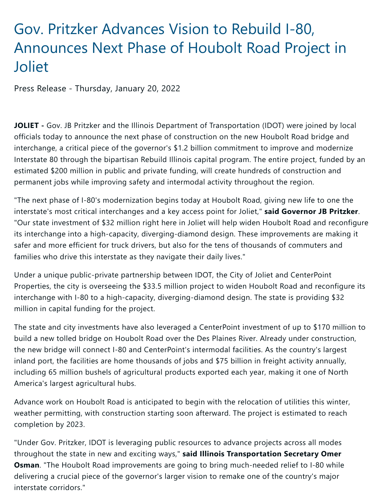## Gov. Pritzker Advances Vision to Rebuild I-80, Announces Next Phase of Houbolt Road Project in Joliet

Press Release - Thursday, January 20, 2022

**JOLIET -** Gov. JB Pritzker and the Illinois Department of Transportation (IDOT) were joined by local officials today to announce the next phase of construction on the new Houbolt Road bridge and interchange, a critical piece of the governor's \$1.2 billion commitment to improve and modernize Interstate 80 through the bipartisan Rebuild Illinois capital program. The entire project, funded by an estimated \$200 million in public and private funding, will create hundreds of construction and permanent jobs while improving safety and intermodal activity throughout the region.

"The next phase of I-80's modernization begins today at Houbolt Road, giving new life to one the interstate's most critical interchanges and a key access point for Joliet," **said Governor JB Pritzker**. "Our state investment of \$32 million right here in Joliet will help widen Houbolt Road and reconfigure its interchange into a high-capacity, diverging-diamond design. These improvements are making it safer and more efficient for truck drivers, but also for the tens of thousands of commuters and families who drive this interstate as they navigate their daily lives."

Under a unique public-private partnership between IDOT, the City of Joliet and CenterPoint Properties, the city is overseeing the \$33.5 million project to widen Houbolt Road and reconfigure its interchange with I-80 to a high-capacity, diverging-diamond design. The state is providing \$32 million in capital funding for the project.

The state and city investments have also leveraged a CenterPoint investment of up to \$170 million to build a new tolled bridge on Houbolt Road over the Des Plaines River. Already under construction, the new bridge will connect I-80 and CenterPoint's intermodal facilities. As the country's largest inland port, the facilities are home thousands of jobs and \$75 billion in freight activity annually, including 65 million bushels of agricultural products exported each year, making it one of North America's largest agricultural hubs.

Advance work on Houbolt Road is anticipated to begin with the relocation of utilities this winter, weather permitting, with construction starting soon afterward. The project is estimated to reach completion by 2023.

"Under Gov. Pritzker, IDOT is leveraging public resources to advance projects across all modes throughout the state in new and exciting ways," **said Illinois Transportation Secretary Omer Osman**. "The Houbolt Road improvements are going to bring much-needed relief to I-80 while delivering a crucial piece of the governor's larger vision to remake one of the country's major interstate corridors."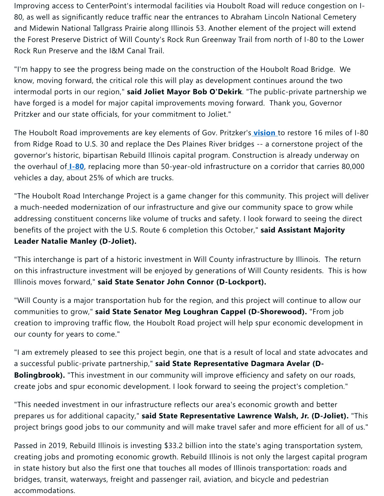Improving access to CenterPoint's intermodal facilities via Houbolt Road will reduce congestion on I-80, as well as significantly reduce traffic near the entrances to Abraham Lincoln National Cemetery and Midewin National Tallgrass Prairie along Illinois 53. Another element of the project will extend the Forest Preserve District of Will County's Rock Run Greenway Trail from north of I-80 to the Lower Rock Run Preserve and the I&M Canal Trail.

"I'm happy to see the progress being made on the construction of the Houbolt Road Bridge. We know, moving forward, the critical role this will play as development continues around the two intermodal ports in our region," **said Joliet Mayor Bob O'Dekirk**. "The public-private partnership we have forged is a model for major capital improvements moving forward. Thank you, Governor Pritzker and our state officials, for your commitment to Joliet."

The Houbolt Road improvements are key elements of Gov. Pritzker's **[vision](https://www.illinois.gov/news/press-release.24018.html)** to restore 16 miles of I-80 from Ridge Road to U.S. 30 and replace the Des Plaines River bridges -- a cornerstone project of the governor's historic, bipartisan Rebuild Illinois capital program. Construction is already underway on the overhaul of **I-80**, replacing more than 50-year-old infrastructure on a corridor that carries 80,000 vehicles a day, about 25% of which are trucks.

"The Houbolt Road Interchange Project is a game changer for this community. This project will deliver a much-needed modernization of our infrastructure and give our community space to grow while addressing constituent concerns like volume of trucks and safety. I look forward to seeing the direct benefits of the project with the U.S. Route 6 completion this October," **said Assistant Majority Leader Natalie Manley (D-Joliet).**

"This interchange is part of a historic investment in Will County infrastructure by Illinois. The return on this infrastructure investment will be enjoyed by generations of Will County residents. This is how Illinois moves forward," **said State Senator John Connor (D-Lockport).**

"Will County is a major transportation hub for the region, and this project will continue to allow our communities to grow," **said State Senator Meg Loughran Cappel (D-Shorewood).** "From job creation to improving traffic flow, the Houbolt Road project will help spur economic development in our county for years to come."

"I am extremely pleased to see this project begin, one that is a result of local and state advocates and a successful public-private partnership," **said State Representative Dagmara Avelar (D-Bolingbrook).** "This investment in our community will improve efficiency and safety on our roads, create jobs and spur economic development. I look forward to seeing the project's completion."

"This needed investment in our infrastructure reflects our area's economic growth and better prepares us for additional capacity," **said State Representative Lawrence Walsh, Jr. (D-Joliet).** "This project brings good jobs to our community and will make travel safer and more efficient for all of us."

Passed in 2019, Rebuild Illinois is investing \$33.2 billion into the state's aging transportation system, creating jobs and promoting economic growth. Rebuild Illinois is not only the largest capital program in state history but also the first one that touches all modes of Illinois transportation: roads and bridges, transit, waterways, freight and passenger rail, aviation, and bicycle and pedestrian accommodations.